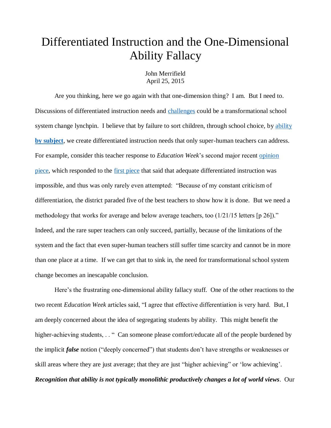## Differentiated Instruction and the One-Dimensional Ability Fallacy

John Merrifield April 25, 2015

Are you thinking, here we go again with that one-dimension thing? I am. But I need to. Discussions of differentiated instruction needs and [challenges](http://www.schoolsystemreformstudies.net/wp-content/uploads/2016/12/Differentiation-Re-Visited.pdf) could be a transformational school system change lynchpin. I believe that by failure to sort children, through school choice, by ability **[by subject](http://nebula.wsimg.com/44cd90572e3718c3b6b1d90b5de1f11b?AccessKeyId=DA21FC8554A675E9CF7B&disposition=0&alloworigin=1)**, we create differentiated instruction needs that only super-human teachers can address. For example, consider this teacher response to *Education Week*'s second major recent opinion [piece,](http://www.schoolsystemreformstudies.net/wp-content/uploads/2016/12/Differentiation-Re-Visited.pdf) which responded to the [first piece](http://www.schoolsystemreformstudies.net/wp-content/uploads/2016/11/Differentiation-of-Instruction-Delusion.pdf) that said that adequate differentiated instruction was impossible, and thus was only rarely even attempted: "Because of my constant criticism of differentiation, the district paraded five of the best teachers to show how it is done. But we need a methodology that works for average and below average teachers, too (1/21/15 letters [p 26])." Indeed, and the rare super teachers can only succeed, partially, because of the limitations of the system and the fact that even super-human teachers still suffer time scarcity and cannot be in more than one place at a time. If we can get that to sink in, the need for transformational school system change becomes an inescapable conclusion.

Here's the frustrating one-dimensional ability fallacy stuff. One of the other reactions to the two recent *Education Week* articles said, "I agree that effective differentiation is very hard. But, I am deeply concerned about the idea of segregating students by ability. This might benefit the higher-achieving students, . . " Can someone please comfort/educate all of the people burdened by the implicit *false* notion ("deeply concerned") that students don't have strengths or weaknesses or skill areas where they are just average; that they are just "higher achieving" or 'low achieving'. *Recognition that ability is not typically monolithic productively changes a lot of world views*. Our